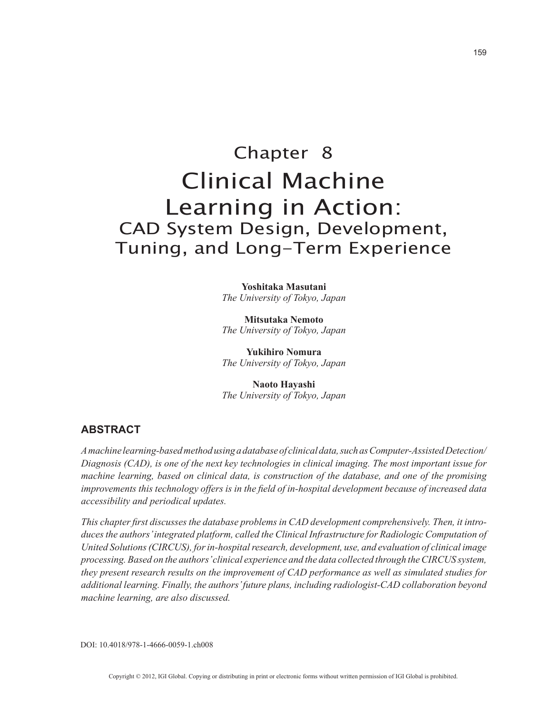# Chapter 8 Clinical Machine Learning in Action: CAD System Design, Development, Tuning, and Long-Term Experience

**Yoshitaka Masutani** *The University of Tokyo, Japan*

**Mitsutaka Nemoto** *The University of Tokyo, Japan*

**Yukihiro Nomura** *The University of Tokyo, Japan*

**Naoto Hayashi** *The University of Tokyo, Japan*

### **ABSTRACT**

*A machine learning-based method using a database of clinical data, such as Computer-Assisted Detection/ Diagnosis (CAD), is one of the next key technologies in clinical imaging. The most important issue for machine learning, based on clinical data, is construction of the database, and one of the promising improvements this technology offers is in the field of in-hospital development because of increased data accessibility and periodical updates.*

*This chapter first discusses the database problems in CAD development comprehensively. Then, it introduces the authors' integrated platform, called the Clinical Infrastructure for Radiologic Computation of United Solutions (CIRCUS), for in-hospital research, development, use, and evaluation of clinical image processing. Based on the authors' clinical experience and the data collected through the CIRCUS system, they present research results on the improvement of CAD performance as well as simulated studies for additional learning. Finally, the authors' future plans, including radiologist-CAD collaboration beyond machine learning, are also discussed.*

DOI: 10.4018/978-1-4666-0059-1.ch008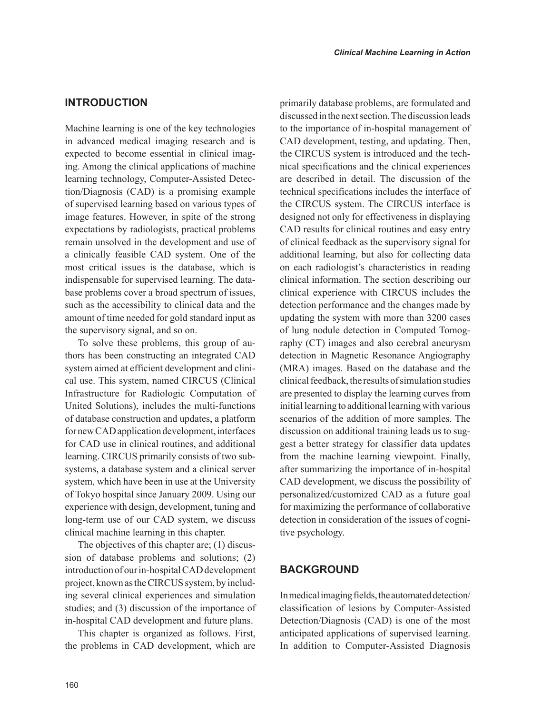# **INTRODUCTION**

Machine learning is one of the key technologies in advanced medical imaging research and is expected to become essential in clinical imaging. Among the clinical applications of machine learning technology, Computer-Assisted Detection/Diagnosis (CAD) is a promising example of supervised learning based on various types of image features. However, in spite of the strong expectations by radiologists, practical problems remain unsolved in the development and use of a clinically feasible CAD system. One of the most critical issues is the database, which is indispensable for supervised learning. The database problems cover a broad spectrum of issues, such as the accessibility to clinical data and the amount of time needed for gold standard input as the supervisory signal, and so on.

To solve these problems, this group of authors has been constructing an integrated CAD system aimed at efficient development and clinical use. This system, named CIRCUS (Clinical Infrastructure for Radiologic Computation of United Solutions), includes the multi-functions of database construction and updates, a platform for new CAD application development, interfaces for CAD use in clinical routines, and additional learning. CIRCUS primarily consists of two subsystems, a database system and a clinical server system, which have been in use at the University of Tokyo hospital since January 2009. Using our experience with design, development, tuning and long-term use of our CAD system, we discuss clinical machine learning in this chapter.

The objectives of this chapter are; (1) discussion of database problems and solutions; (2) introduction of our in-hospital CAD development project, known as the CIRCUS system, by including several clinical experiences and simulation studies; and (3) discussion of the importance of in-hospital CAD development and future plans.

This chapter is organized as follows. First, the problems in CAD development, which are primarily database problems, are formulated and discussed in the next section. The discussion leads to the importance of in-hospital management of CAD development, testing, and updating. Then, the CIRCUS system is introduced and the technical specifications and the clinical experiences are described in detail. The discussion of the technical specifications includes the interface of the CIRCUS system. The CIRCUS interface is designed not only for effectiveness in displaying CAD results for clinical routines and easy entry of clinical feedback as the supervisory signal for additional learning, but also for collecting data on each radiologist's characteristics in reading clinical information. The section describing our clinical experience with CIRCUS includes the detection performance and the changes made by updating the system with more than 3200 cases of lung nodule detection in Computed Tomography (CT) images and also cerebral aneurysm detection in Magnetic Resonance Angiography (MRA) images. Based on the database and the clinical feedback, the results of simulation studies are presented to display the learning curves from initial learning to additional learning with various scenarios of the addition of more samples. The discussion on additional training leads us to suggest a better strategy for classifier data updates from the machine learning viewpoint. Finally, after summarizing the importance of in-hospital CAD development, we discuss the possibility of personalized/customized CAD as a future goal for maximizing the performance of collaborative detection in consideration of the issues of cognitive psychology.

## **BACKGROUND**

In medical imaging fields, the automated detection/ classification of lesions by Computer-Assisted Detection/Diagnosis (CAD) is one of the most anticipated applications of supervised learning. In addition to Computer-Assisted Diagnosis